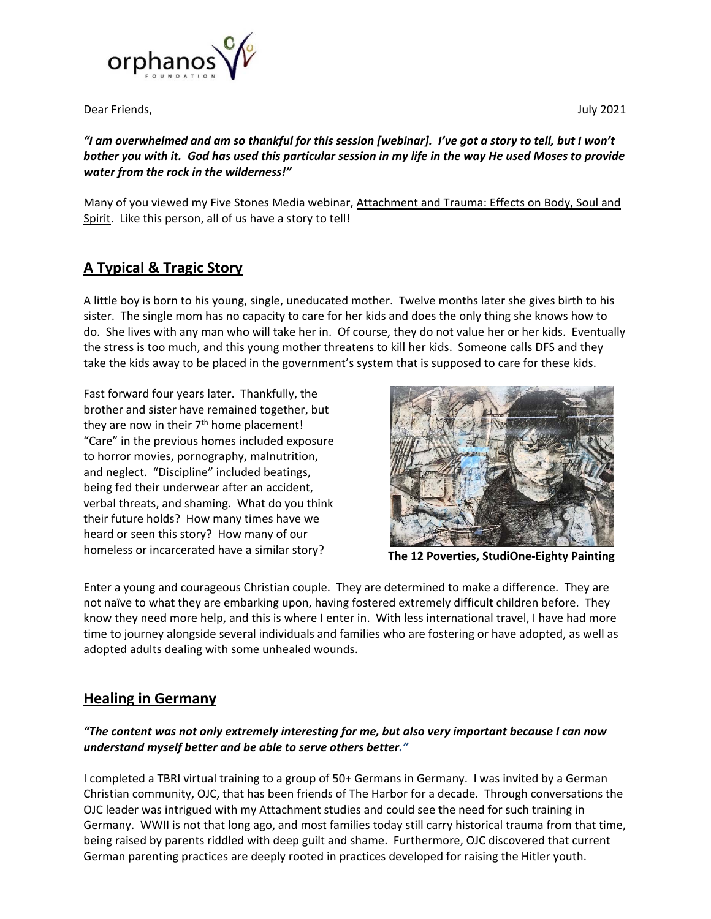

Dear Friends, **Dear Friends, the Contract of the Contract of the Contract of the Contract of the Contract of the Contract of the Contract of the Contract of the Contract of the Contract of the Contract of the Contract of t** 

*"I am overwhelmed and am so thankful for this session [webinar]. I've got a story to tell, but I won't bother you with it. God has used this particular session in my life in the way He used Moses to provide water from the rock in the wilderness!"* 

Many of you viewed my Five Stones Media webinar, Attachment and Trauma: Effects on Body, Soul and Spirit. Like this person, all of us have a story to tell!

## **A Typical & Tragic Story**

A little boy is born to his young, single, uneducated mother. Twelve months later she gives birth to his sister. The single mom has no capacity to care for her kids and does the only thing she knows how to do. She lives with any man who will take her in. Of course, they do not value her or her kids. Eventually the stress is too much, and this young mother threatens to kill her kids. Someone calls DFS and they take the kids away to be placed in the government's system that is supposed to care for these kids.

Fast forward four years later. Thankfully, the brother and sister have remained together, but they are now in their  $7<sup>th</sup>$  home placement! "Care" in the previous homes included exposure to horror movies, pornography, malnutrition, and neglect. "Discipline" included beatings, being fed their underwear after an accident, verbal threats, and shaming. What do you think their future holds? How many times have we heard or seen this story? How many of our homeless or incarcerated have a similar story? **The 12 Poverties, StudiOne-Eighty Painting** 



Enter a young and courageous Christian couple. They are determined to make a difference. They are not naïve to what they are embarking upon, having fostered extremely difficult children before. They know they need more help, and this is where I enter in. With less international travel, I have had more time to journey alongside several individuals and families who are fostering or have adopted, as well as adopted adults dealing with some unhealed wounds.

## **Healing in Germany**

## *"The content was not only extremely interesting for me, but also very important because I can now understand myself better and be able to serve others better."*

I completed a TBRI virtual training to a group of 50+ Germans in Germany. I was invited by a German Christian community, OJC, that has been friends of The Harbor for a decade. Through conversations the OJC leader was intrigued with my Attachment studies and could see the need for such training in Germany. WWII is not that long ago, and most families today still carry historical trauma from that time, being raised by parents riddled with deep guilt and shame. Furthermore, OJC discovered that current German parenting practices are deeply rooted in practices developed for raising the Hitler youth.